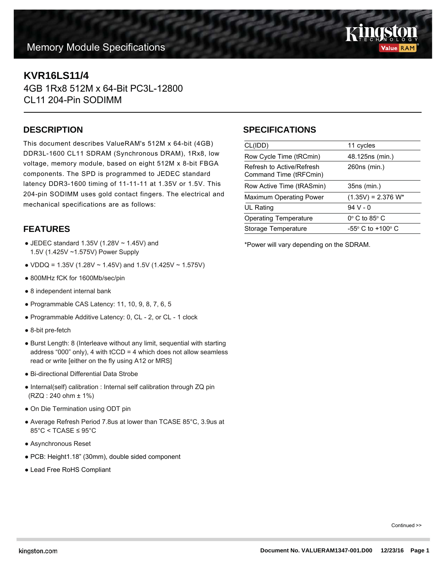# **Memory Module Specifications**



## **KVR16LS11/4**

4GB 1Rx8 512M x 64-Bit PC3L-12800 CL11 204-Pin SODIMM

#### **DESCRIPTION**

This document describes ValueRAM's 512M x 64-bit (4GB) DDR3L-1600 CL11 SDRAM (Synchronous DRAM), 1Rx8, low voltage, memory module, based on eight 512M x 8-bit FBGA components. The SPD is programmed to JEDEC standard latency DDR3-1600 timing of 11-11-11 at 1.35V or 1.5V. This 204-pin SODIMM uses gold contact fingers. The electrical and mechanical specifications are as follows:

### **FEATURES**

- $\bullet$  JEDEC standard 1.35V (1.28V  $\sim$  1.45V) and 1.5V (1.425V ~1.575V) Power Supply
- VDDQ = 1.35V (1.28V  $\sim$  1.45V) and 1.5V (1.425V  $\sim$  1.575V)
- 800MHz fCK for 1600Mb/sec/pin
- 8 independent internal bank
- $\bullet$  Programmable CAS Latency: 11, 10, 9, 8, 7, 6, 5
- Programmable Additive Latency: 0, CL 2, or CL 1 clock
- 8-bit pre-fetch
- Burst Length: 8 (Interleave without any limit, sequential with starting address "000" only), 4 with  $tCCD = 4$  which does not allow seamless read or write [either on the fly using A12 or MRS]
- Bi-directional Differential Data Strobe
- Internal(self) calibration : Internal self calibration through ZQ pin (RZQ : 240 ohm ± 1%)
- On Die Termination using ODT pin
- Average Refresh Period 7.8us at lower than TCASE 85°C, 3.9us at  $85^{\circ}$ C < TCASE  $\leq 95^{\circ}$ C
- Asynchronous Reset
- PCB: Height1.18" (30mm), double sided component
- Lead Free RoHS Compliant

### **SPECIFICATIONS**

| CL(IDD)                                             | 11 cycles                           |
|-----------------------------------------------------|-------------------------------------|
| Row Cycle Time (tRCmin)                             | 48.125ns (min.)                     |
| Refresh to Active/Refresh<br>Command Time (tRFCmin) | 260ns (min.)                        |
| Row Active Time (tRASmin)                           | 35ns (min.)                         |
| <b>Maximum Operating Power</b>                      | $(1.35V) = 2.376 W^*$               |
| UL Rating                                           | $94V - 0$                           |
| <b>Operating Temperature</b>                        | $0^\circ$ C to 85 $^\circ$ C        |
| Storage Temperature                                 | $-55^{\circ}$ C to $+100^{\circ}$ C |
|                                                     |                                     |

\*Power will vary depending on the SDRAM.